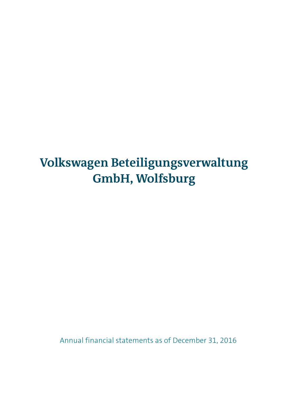### **Volkswagen Beteiligungsverwaltung GmbH, Wolfsburg**

Annual financial statements as of December 31, 2016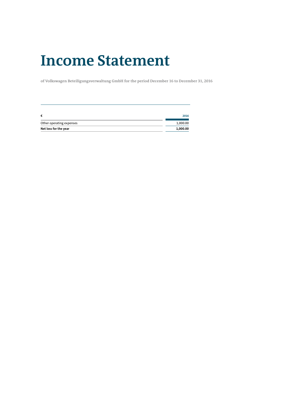### **Income Statement**

**of Volkswagen Beteiligungsverwaltung GmbH for the period December 16 to December 31, 2016**

| €                        | 2016     |
|--------------------------|----------|
| Other operating expenses | 1,000.00 |
| Net loss for the year    | 1,000.00 |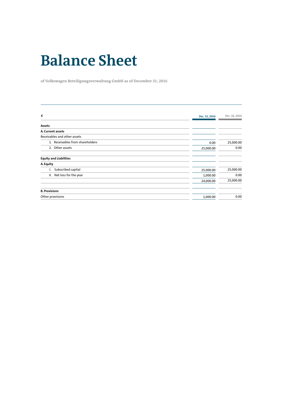## **Balance Sheet**

**of Volkswagen Beteiligungsverwaltung GmbH as of December 31, 2016**

| €                                |               | Dec. 16, 2016 |
|----------------------------------|---------------|---------------|
|                                  | Dec. 31, 2016 |               |
| Assets                           |               |               |
| A. Current assets                |               |               |
| Receivables and other assets     |               |               |
| 1. Receivables from shareholders | 0.00          | 25,000.00     |
| 2. Other assets                  | 25,000.00     | 0.00          |
| <b>Equity and Liabilities</b>    |               |               |
| A. Equity                        |               |               |
| Subscribed capital               | 25,000.00     | 25,000.00     |
| II. Net loss for the year        | 1,000.00      | 0.00          |
|                                  | 24,000.00     | 25,000.00     |
| <b>B. Provisions</b>             |               |               |
| Other provisions                 | 1,000.00      | 0.00          |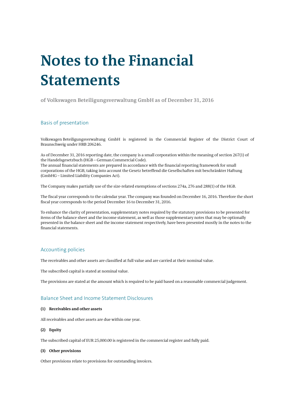# **Notes to the Financial Statements**

**of Volkswagen Beteiligungsverwaltung GmbH as of December 31, 2016**

#### Basis of presentation

Volkswagen Beteiligungsverwaltung GmbH is registered in the Commercial Register of the District Court of Braunschweig under HRB 206246.

As of December 31, 2016 reporting date, the company is a small corporation within the meaning of section 267(1) of the Handelsgesetzbuch (HGB – German Commercial Code).

The annual financial statements are prepared in accordance with the financial reporting framework for small corporations of the HGB, taking into account the Gesetz betreffend die Gesellschaften mit beschränkter Haftung (GmbHG – Limited Liability Companies Act).

The Company makes partially use of the size-related exemptions of sections 274a, 276 and 288(1) of the HGB.

The fiscal year corresponds to the calendar year. The company was founded on December 16, 2016. Therefore the short fiscal year corresponds to the period December 16 to December 31, 2016.

To enhance the clarity of presentation, supplementary notes required by the statutory provisions to be presented for items of the balance sheet and the income statement, as well as those supplementary notes that may be optionally presented in the balance sheet and the income statement respectively, have been presented mostly in the notes to the financial statements.

#### Accounting policies

The receivables and other assets are classified at full value and are carried at their nominal value.

The subscribed capital is stated at nominal value.

The provisions are stated at the amount which is required to be paid based on a reasonable commercial judgement.

#### Balance Sheet and Income Statement Disclosures

#### **(1) Receivables and other assets**

All receivables and other assets are due within one year.

#### **(2) Equity**

The subscribed capital of EUR 25,000.00 is registered in the commercial register and fully paid.

#### **(3) Other provisions**

Other provisions relate to provisions for outstanding invoices.